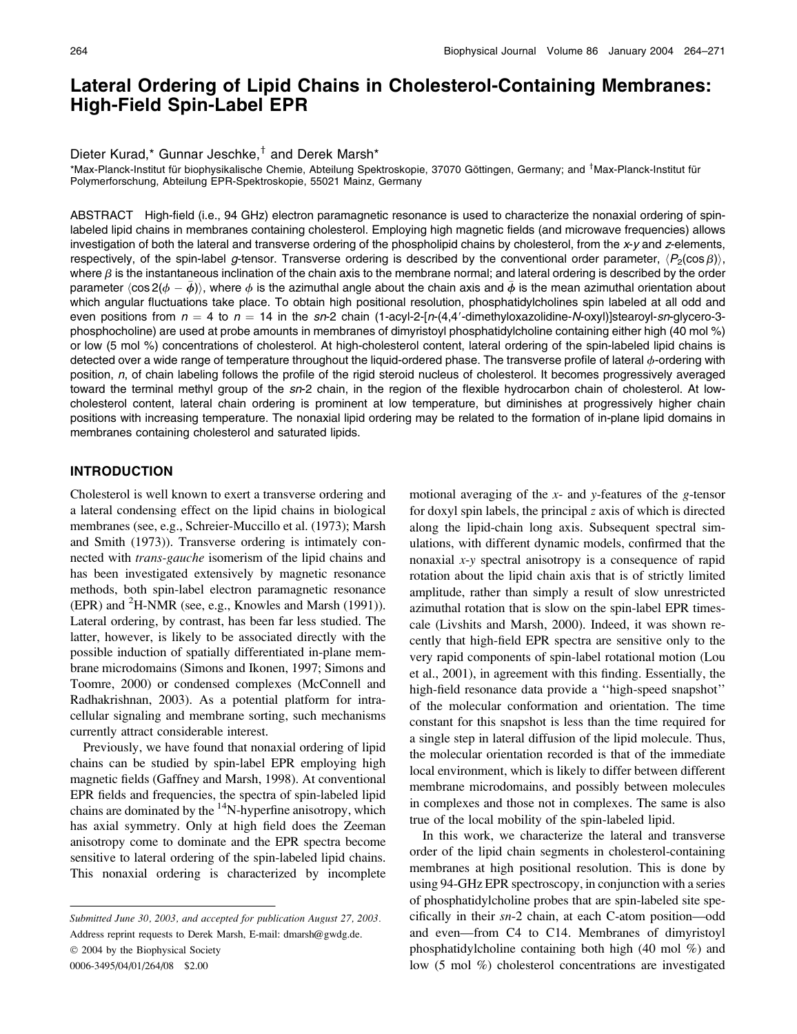# Lateral Ordering of Lipid Chains in Cholesterol-Containing Membranes: High-Field Spin-Label EPR

## Dieter Kurad,\* Gunnar Jeschke,<sup>†</sup> and Derek Marsh\*

\*Max-Planck-Institut für biophysikalische Chemie, Abteilung Spektroskopie, 37070 Göttingen, Germany; and <sup>†</sup>Max-Planck-Institut für Polymerforschung, Abteilung EPR-Spektroskopie, 55021 Mainz, Germany

ABSTRACT High-field (i.e., 94 GHz) electron paramagnetic resonance is used to characterize the nonaxial ordering of spinlabeled lipid chains in membranes containing cholesterol. Employing high magnetic fields (and microwave frequencies) allows investigation of both the lateral and transverse ordering of the phospholipid chains by cholesterol, from the x-y and z-elements, respectively, of the spin-label g-tensor. Transverse ordering is described by the conventional order parameter,  $\langle P_2(\cos \beta) \rangle$ , where  $\beta$  is the instantaneous inclination of the chain axis to the membrane normal; and lateral ordering is described by the order parameter  $\langle \cos 2(\phi - \bar{\phi}) \rangle$ , where  $\phi$  is the azimuthal angle about the chain axis and  $\bar{\phi}$  is the mean azimuthal orientation about which angular fluctuations take place. To obtain high positional resolution, phosphatidylcholines spin labeled at all odd and even positions from  $n = 4$  to  $n = 14$  in the sn-2 chain (1-acyl-2-[n-(4,4'-dimethyloxazolidine-N-oxyl)]stearoyl-sn-glycero-3phosphocholine) are used at probe amounts in membranes of dimyristoyl phosphatidylcholine containing either high (40 mol %) or low (5 mol %) concentrations of cholesterol. At high-cholesterol content, lateral ordering of the spin-labeled lipid chains is detected over a wide range of temperature throughout the liquid-ordered phase. The transverse profile of lateral  $\phi$ -ordering with position, n, of chain labeling follows the profile of the rigid steroid nucleus of cholesterol. It becomes progressively averaged toward the terminal methyl group of the sn-2 chain, in the region of the flexible hydrocarbon chain of cholesterol. At lowcholesterol content, lateral chain ordering is prominent at low temperature, but diminishes at progressively higher chain positions with increasing temperature. The nonaxial lipid ordering may be related to the formation of in-plane lipid domains in membranes containing cholesterol and saturated lipids.

## INTRODUCTION

Cholesterol is well known to exert a transverse ordering and a lateral condensing effect on the lipid chains in biological membranes (see, e.g., Schreier-Muccillo et al. (1973); Marsh and Smith (1973)). Transverse ordering is intimately connected with trans-gauche isomerism of the lipid chains and has been investigated extensively by magnetic resonance methods, both spin-label electron paramagnetic resonance (EPR) and <sup>2</sup>H-NMR (see, e.g., Knowles and Marsh (1991)). Lateral ordering, by contrast, has been far less studied. The latter, however, is likely to be associated directly with the possible induction of spatially differentiated in-plane membrane microdomains (Simons and Ikonen, 1997; Simons and Toomre, 2000) or condensed complexes (McConnell and Radhakrishnan, 2003). As a potential platform for intracellular signaling and membrane sorting, such mechanisms currently attract considerable interest.

Previously, we have found that nonaxial ordering of lipid chains can be studied by spin-label EPR employing high magnetic fields (Gaffney and Marsh, 1998). At conventional EPR fields and frequencies, the spectra of spin-labeled lipid chains are dominated by the  $14$ N-hyperfine anisotropy, which has axial symmetry. Only at high field does the Zeeman anisotropy come to dominate and the EPR spectra become sensitive to lateral ordering of the spin-labeled lipid chains. This nonaxial ordering is characterized by incomplete

Address reprint requests to Derek Marsh, E-mail: dmarsh@gwdg.de.

 $© 2004$  by the Biophysical Society

0006-3495/04/01/264/08 \$2.00

motional averaging of the  $x$ - and  $y$ -features of the  $g$ -tensor for doxyl spin labels, the principal z axis of which is directed along the lipid-chain long axis. Subsequent spectral simulations, with different dynamic models, confirmed that the nonaxial x-y spectral anisotropy is a consequence of rapid rotation about the lipid chain axis that is of strictly limited amplitude, rather than simply a result of slow unrestricted azimuthal rotation that is slow on the spin-label EPR timescale (Livshits and Marsh, 2000). Indeed, it was shown recently that high-field EPR spectra are sensitive only to the very rapid components of spin-label rotational motion (Lou et al., 2001), in agreement with this finding. Essentially, the high-field resonance data provide a ''high-speed snapshot'' of the molecular conformation and orientation. The time constant for this snapshot is less than the time required for a single step in lateral diffusion of the lipid molecule. Thus, the molecular orientation recorded is that of the immediate local environment, which is likely to differ between different membrane microdomains, and possibly between molecules in complexes and those not in complexes. The same is also true of the local mobility of the spin-labeled lipid.

In this work, we characterize the lateral and transverse order of the lipid chain segments in cholesterol-containing membranes at high positional resolution. This is done by using 94-GHz EPR spectroscopy, in conjunction with a series of phosphatidylcholine probes that are spin-labeled site specifically in their sn-2 chain, at each C-atom position—odd and even—from C4 to C14. Membranes of dimyristoyl phosphatidylcholine containing both high (40 mol %) and low (5 mol %) cholesterol concentrations are investigated

Submitted June 30, 2003, and accepted for publication August 27, 2003.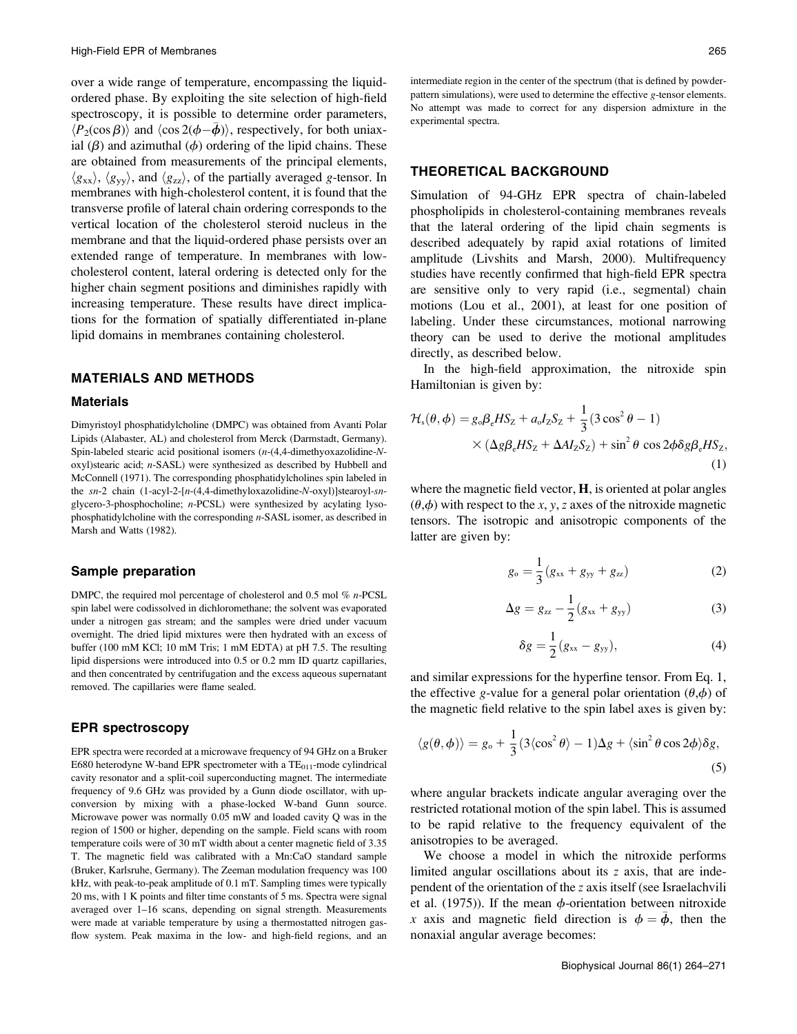over a wide range of temperature, encompassing the liquidordered phase. By exploiting the site selection of high-field spectroscopy, it is possible to determine order parameters,  $\langle P_2(\cos \beta) \rangle$  and  $\langle \cos 2(\phi - \bar{\phi}) \rangle$ , respectively, for both uniaxial  $(\beta)$  and azimuthal  $(\phi)$  ordering of the lipid chains. These are obtained from measurements of the principal elements,  $\langle g_{xx} \rangle$ ,  $\langle g_{yy} \rangle$ , and  $\langle g_{zz} \rangle$ , of the partially averaged g-tensor. In membranes with high-cholesterol content, it is found that the transverse profile of lateral chain ordering corresponds to the vertical location of the cholesterol steroid nucleus in the membrane and that the liquid-ordered phase persists over an extended range of temperature. In membranes with lowcholesterol content, lateral ordering is detected only for the higher chain segment positions and diminishes rapidly with increasing temperature. These results have direct implications for the formation of spatially differentiated in-plane lipid domains in membranes containing cholesterol.

## MATERIALS AND METHODS

#### Materials

Dimyristoyl phosphatidylcholine (DMPC) was obtained from Avanti Polar Lipids (Alabaster, AL) and cholesterol from Merck (Darmstadt, Germany). Spin-labeled stearic acid positional isomers (n-(4,4-dimethyoxazolidine-Noxyl)stearic acid; n-SASL) were synthesized as described by Hubbell and McConnell (1971). The corresponding phosphatidylcholines spin labeled in the sn-2 chain (1-acyl-2-[n-(4,4-dimethyloxazolidine-N-oxyl)]stearoyl-snglycero-3-phosphocholine; n-PCSL) were synthesized by acylating lysophosphatidylcholine with the corresponding n-SASL isomer, as described in Marsh and Watts (1982).

#### Sample preparation

DMPC, the required mol percentage of cholesterol and 0.5 mol % n-PCSL spin label were codissolved in dichloromethane; the solvent was evaporated under a nitrogen gas stream; and the samples were dried under vacuum overnight. The dried lipid mixtures were then hydrated with an excess of buffer (100 mM KCl; 10 mM Tris; 1 mM EDTA) at pH 7.5. The resulting lipid dispersions were introduced into 0.5 or 0.2 mm ID quartz capillaries, and then concentrated by centrifugation and the excess aqueous supernatant removed. The capillaries were flame sealed.

## EPR spectroscopy

EPR spectra were recorded at a microwave frequency of 94 GHz on a Bruker E680 heterodyne W-band EPR spectrometer with a  $TE_{011}$ -mode cylindrical cavity resonator and a split-coil superconducting magnet. The intermediate frequency of 9.6 GHz was provided by a Gunn diode oscillator, with upconversion by mixing with a phase-locked W-band Gunn source. Microwave power was normally 0.05 mW and loaded cavity Q was in the region of 1500 or higher, depending on the sample. Field scans with room temperature coils were of 30 mT width about a center magnetic field of 3.35 T. The magnetic field was calibrated with a Mn:CaO standard sample (Bruker, Karlsruhe, Germany). The Zeeman modulation frequency was 100 kHz, with peak-to-peak amplitude of 0.1 mT. Sampling times were typically 20 ms, with 1 K points and filter time constants of 5 ms. Spectra were signal averaged over 1–16 scans, depending on signal strength. Measurements were made at variable temperature by using a thermostatted nitrogen gasflow system. Peak maxima in the low- and high-field regions, and an

intermediate region in the center of the spectrum (that is defined by powderpattern simulations), were used to determine the effective g-tensor elements. No attempt was made to correct for any dispersion admixture in the experimental spectra.

## THEORETICAL BACKGROUND

Simulation of 94-GHz EPR spectra of chain-labeled phospholipids in cholesterol-containing membranes reveals that the lateral ordering of the lipid chain segments is described adequately by rapid axial rotations of limited amplitude (Livshits and Marsh, 2000). Multifrequency studies have recently confirmed that high-field EPR spectra are sensitive only to very rapid (i.e., segmental) chain motions (Lou et al., 2001), at least for one position of labeling. Under these circumstances, motional narrowing theory can be used to derive the motional amplitudes directly, as described below.

In the high-field approximation, the nitroxide spin Hamiltonian is given by:

$$
\mathcal{H}_s(\theta,\phi) = g_\circ \beta_\circ HS_z + a_\circ I_z S_z + \frac{1}{3} (3 \cos^2 \theta - 1)
$$
  
 
$$
\times (\Delta g \beta_\circ HS_z + \Delta A I_z S_z) + \sin^2 \theta \cos 2\phi \delta g \beta_\circ HS_z,
$$
  
(1)

where the magnetic field vector,  $H$ , is oriented at polar angles  $(\theta, \phi)$  with respect to the x, y, z axes of the nitroxide magnetic tensors. The isotropic and anisotropic components of the latter are given by:

$$
g_o = \frac{1}{3}(g_{xx} + g_{yy} + g_{zz})
$$
 (2)

$$
\Delta g = g_{zz} - \frac{1}{2} (g_{xx} + g_{yy})
$$
 (3)

$$
\delta g = \frac{1}{2} (g_{xx} - g_{yy}), \qquad (4)
$$

and similar expressions for the hyperfine tensor. From Eq. 1, the effective g-value for a general polar orientation  $(\theta, \phi)$  of the magnetic field relative to the spin label axes is given by:

$$
\langle g(\theta,\phi) \rangle = g_{\rm o} + \frac{1}{3} (3 \langle \cos^2 \theta \rangle - 1) \Delta g + \langle \sin^2 \theta \cos 2\phi \rangle \delta g,\tag{5}
$$

where angular brackets indicate angular averaging over the restricted rotational motion of the spin label. This is assumed to be rapid relative to the frequency equivalent of the anisotropies to be averaged.

We choose a model in which the nitroxide performs limited angular oscillations about its z axis, that are independent of the orientation of the z axis itself (see Israelachvili et al. (1975)). If the mean  $\phi$ -orientation between nitroxide x axis and magnetic field direction is  $\phi = \bar{\phi}$ , then the nonaxial angular average becomes: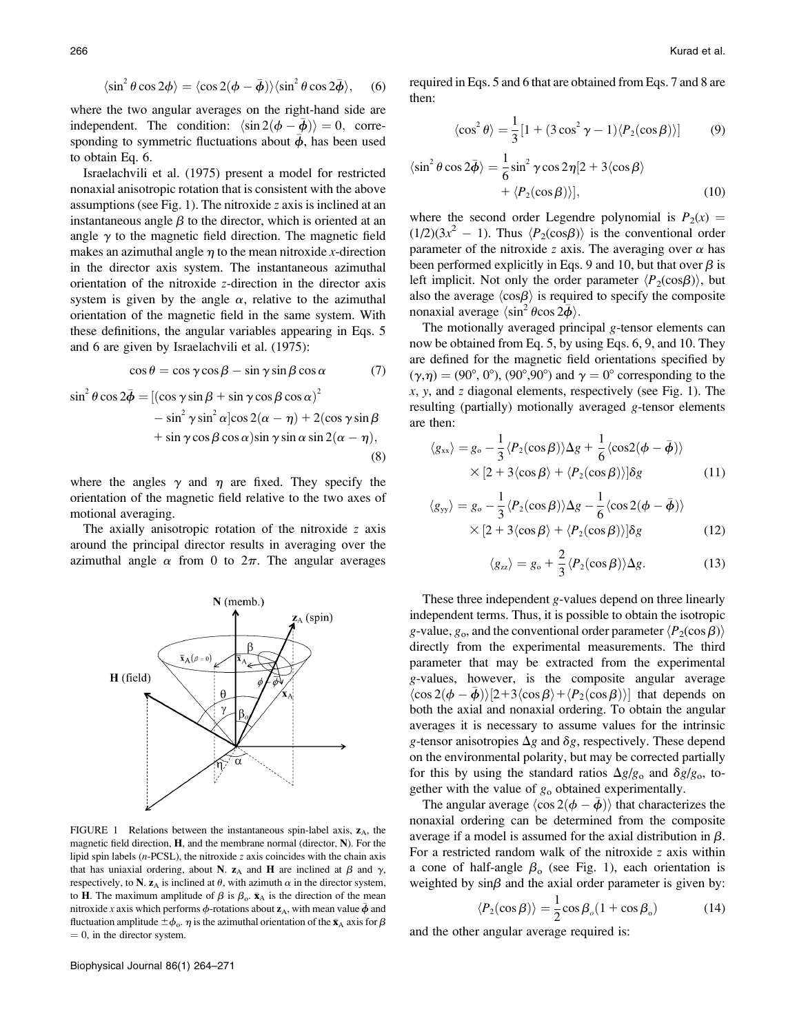$$
\langle \sin^2 \theta \cos 2\phi \rangle = \langle \cos 2(\phi - \bar{\phi}) \rangle \langle \sin^2 \theta \cos 2\bar{\phi} \rangle, \quad (6)
$$

where the two angular averages on the right-hand side are independent. The condition:  $\langle \sin 2(\phi - \bar{\phi}) \rangle = 0$ , corresponding to symmetric fluctuations about  $\bar{\phi}$ , has been used to obtain Eq. 6.

Israelachvili et al. (1975) present a model for restricted nonaxial anisotropic rotation that is consistent with the above assumptions (see Fig. 1). The nitroxide z axis is inclined at an instantaneous angle  $\beta$  to the director, which is oriented at an angle  $\gamma$  to the magnetic field direction. The magnetic field makes an azimuthal angle  $\eta$  to the mean nitroxide x-direction in the director axis system. The instantaneous azimuthal orientation of the nitroxide z-direction in the director axis system is given by the angle  $\alpha$ , relative to the azimuthal orientation of the magnetic field in the same system. With these definitions, the angular variables appearing in Eqs. 5 and 6 are given by Israelachvili et al. (1975):

$$
\cos \theta = \cos \gamma \cos \beta - \sin \gamma \sin \beta \cos \alpha \tag{7}
$$

$$
\sin^2 \theta \cos 2\bar{\phi} = [(\cos \gamma \sin \beta + \sin \gamma \cos \beta \cos \alpha)^2
$$
  

$$
- \sin^2 \gamma \sin^2 \alpha [\cos 2(\alpha - \eta) + 2(\cos \gamma \sin \beta + \sin \gamma \cos \beta \cos \alpha)\sin \gamma \sin \alpha \sin 2(\alpha - \eta),
$$
  
(8)

where the angles  $\gamma$  and  $\eta$  are fixed. They specify the orientation of the magnetic field relative to the two axes of motional averaging.

The axially anisotropic rotation of the nitroxide z axis around the principal director results in averaging over the azimuthal angle  $\alpha$  from 0 to  $2\pi$ . The angular averages



FIGURE 1 Relations between the instantaneous spin-label axis,  $z_A$ , the magnetic field direction,  $H$ , and the membrane normal (director,  $N$ ). For the lipid spin labels ( $n$ -PCSL), the nitroxide  $z$  axis coincides with the chain axis that has uniaxial ordering, about N.  $z_A$  and H are inclined at  $\beta$  and  $\gamma$ , respectively, to N.  $z_A$  is inclined at  $\theta$ , with azimuth  $\alpha$  in the director system, to **H**. The maximum amplitude of  $\beta$  is  $\beta_o$ .  $\bar{\mathbf{x}}_A$  is the direction of the mean nitroxide x axis which performs  $\phi$ -rotations about  $\mathbf{z}_\mathrm{A}$ , with mean value  $\bar{\pmb\phi}$  and fluctuation amplitude  $\pm \phi_{\rm o}$ .  $\eta$  is the azimuthal orientation of the  $\bar{\mathbf{x}}_{\rm A}$  axis for  $\beta$  $= 0$ , in the director system.

required in Eqs. 5 and 6 that are obtained from Eqs. 7 and 8 are then:

$$
\langle \cos^2 \theta \rangle = \frac{1}{3} [1 + (3 \cos^2 \gamma - 1) \langle P_2(\cos \beta) \rangle] \tag{9}
$$

$$
\langle \sin^2 \theta \cos 2\bar{\phi} \rangle = \frac{1}{6} \sin^2 \gamma \cos 2\eta [2 + 3 \langle \cos \beta \rangle + \langle P_2(\cos \beta) \rangle], \tag{10}
$$

where the second order Legendre polynomial is  $P_2(x) =$  $(1/2)(3x^2 - 1)$ . Thus  $\langle P_2(\cos\beta) \rangle$  is the conventional order parameter of the nitroxide z axis. The averaging over  $\alpha$  has been performed explicitly in Eqs. 9 and 10, but that over  $\beta$  is left implicit. Not only the order parameter  $\langle P_2(\cos\beta) \rangle$ , but also the average  $\langle \cos \beta \rangle$  is required to specify the composite nonaxial average  $\langle \sin^2 \theta \cos 2\bar{\phi} \rangle$ .

The motionally averaged principal g-tensor elements can now be obtained from Eq. 5, by using Eqs. 6, 9, and 10. They are defined for the magnetic field orientations specified by  $(\gamma,\eta) = (90^\circ, 0^\circ)$ ,  $(90^\circ, 90^\circ)$  and  $\gamma = 0^\circ$  corresponding to the  $x, y$ , and  $z$  diagonal elements, respectively (see Fig. 1). The resulting (partially) motionally averaged g-tensor elements are then:

$$
\langle g_{xx} \rangle = g_{\circ} - \frac{1}{3} \langle P_2(\cos \beta) \rangle \Delta g + \frac{1}{6} \langle \cos 2(\phi - \bar{\phi}) \rangle
$$
  
 
$$
\times [2 + 3 \langle \cos \beta \rangle + \langle P_2(\cos \beta) \rangle] \delta g \qquad (11)
$$

$$
\langle g_{yy} \rangle = g_{\circ} - \frac{1}{3} \langle P_2(\cos \beta) \rangle \Delta g - \frac{1}{6} \langle \cos 2(\phi - \bar{\phi}) \rangle
$$
  
 
$$
\times [2 + 3 \langle \cos \beta \rangle + \langle P_2(\cos \beta) \rangle] \delta g \qquad (12)
$$

$$
\langle g_{\alpha} \rangle = g_{\rm o} + \frac{2}{3} \langle P_2(\cos \beta) \rangle \Delta g. \tag{13}
$$

These three independent g-values depend on three linearly independent terms. Thus, it is possible to obtain the isotropic g-value,  $g_0$ , and the conventional order parameter  $\langle P_2(\cos \beta) \rangle$ directly from the experimental measurements. The third parameter that may be extracted from the experimental g-values, however, is the composite angular average  $\langle \cos 2(\phi - \bar{\phi}) \rangle [2 + 3\langle \cos \beta \rangle + \langle P_2(\cos \beta) \rangle]$  that depends on both the axial and nonaxial ordering. To obtain the angular averages it is necessary to assume values for the intrinsic g-tensor anisotropies  $\Delta g$  and  $\delta g$ , respectively. These depend on the environmental polarity, but may be corrected partially for this by using the standard ratios  $\Delta g/g_0$  and  $\delta g/g_0$ , together with the value of  $g_0$  obtained experimentally.

The angular average  $\langle \cos 2(\phi - \bar{\phi}) \rangle$  that characterizes the nonaxial ordering can be determined from the composite average if a model is assumed for the axial distribution in  $\beta$ . For a restricted random walk of the nitroxide z axis within a cone of half-angle  $\beta_0$  (see Fig. 1), each orientation is weighted by  $sin\beta$  and the axial order parameter is given by:

$$
\langle P_2(\cos \beta) \rangle = \frac{1}{2} \cos \beta_o (1 + \cos \beta_o) \tag{14}
$$

and the other angular average required is: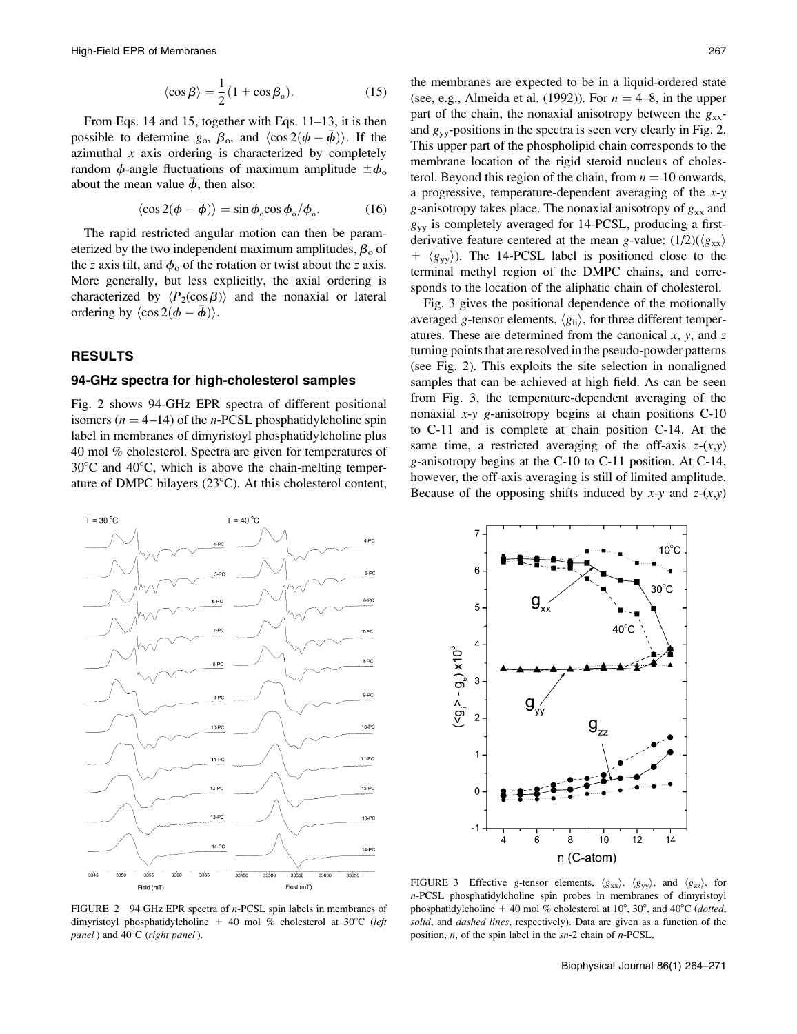$$
\langle \cos \beta \rangle = \frac{1}{2} (1 + \cos \beta_{\circ}). \tag{15}
$$

From Eqs. 14 and 15, together with Eqs. 11–13, it is then possible to determine  $g_0$ ,  $\beta_0$ , and  $\langle \cos 2(\phi - \bar{\phi}) \rangle$ . If the azimuthal  $x$  axis ordering is characterized by completely random  $\phi$ -angle fluctuations of maximum amplitude  $\pm \phi_0$ about the mean value  $\bar{\phi}$ , then also:

$$
\langle \cos 2(\phi - \bar{\phi}) \rangle = \sin \phi_{\circ} \cos \phi_{\circ} / \phi_{\circ}.
$$
 (16)

The rapid restricted angular motion can then be parameterized by the two independent maximum amplitudes,  $\beta_0$  of the z axis tilt, and  $\phi_0$  of the rotation or twist about the z axis. More generally, but less explicitly, the axial ordering is characterized by  $\langle P_2(\cos \beta) \rangle$  and the nonaxial or lateral ordering by  $\langle \cos 2(\phi - \bar{\phi}) \rangle$ .

## RESULTS

#### 94-GHz spectra for high-cholesterol samples

Fig. 2 shows 94-GHz EPR spectra of different positional isomers ( $n = 4-14$ ) of the *n*-PCSL phosphatidylcholine spin label in membranes of dimyristoyl phosphatidylcholine plus 40 mol % cholesterol. Spectra are given for temperatures of  $30^{\circ}$ C and  $40^{\circ}$ C, which is above the chain-melting temperature of DMPC bilayers  $(23^{\circ}C)$ . At this cholesterol content,

the membranes are expected to be in a liquid-ordered state (see, e.g., Almeida et al. (1992)). For  $n = 4-8$ , in the upper part of the chain, the nonaxial anisotropy between the  $g_{xx}$ and  $g_{vv}$ -positions in the spectra is seen very clearly in Fig. 2. This upper part of the phospholipid chain corresponds to the membrane location of the rigid steroid nucleus of cholesterol. Beyond this region of the chain, from  $n = 10$  onwards, a progressive, temperature-dependent averaging of the  $x-y$ g-anisotropy takes place. The nonaxial anisotropy of  $g_{xx}$  and  $g_{yy}$  is completely averaged for 14-PCSL, producing a firstderivative feature centered at the mean g-value:  $(1/2)(\langle g_{xx} \rangle)$  $+ \langle g_{yy} \rangle$ ). The 14-PCSL label is positioned close to the terminal methyl region of the DMPC chains, and corresponds to the location of the aliphatic chain of cholesterol.

Fig. 3 gives the positional dependence of the motionally averaged g-tensor elements,  $\langle g_{ii} \rangle$ , for three different temperatures. These are determined from the canonical  $x$ ,  $y$ , and  $z$ turning points that are resolved in the pseudo-powder patterns (see Fig. 2). This exploits the site selection in nonaligned samples that can be achieved at high field. As can be seen from Fig. 3, the temperature-dependent averaging of the nonaxial  $x-y$  g-anisotropy begins at chain positions C-10 to C-11 and is complete at chain position C-14. At the same time, a restricted averaging of the off-axis  $z-(x,y)$ g-anisotropy begins at the C-10 to C-11 position. At C-14, however, the off-axis averaging is still of limited amplitude. Because of the opposing shifts induced by  $x-y$  and  $z-(x,y)$ 





FIGURE 2 94 GHz EPR spectra of *n*-PCSL spin labels in membranes of dimyristoyl phosphatidylcholine + 40 mol % cholesterol at 30 $^{\circ}$ C (left panel) and  $40^{\circ}$ C (right panel).

FIGURE 3 Effective g-tensor elements,  $\langle g_{xx} \rangle$ ,  $\langle g_{yy} \rangle$ , and  $\langle g_{zz} \rangle$ , for n-PCSL phosphatidylcholine spin probes in membranes of dimyristoyl phosphatidylcholine + 40 mol % cholesterol at  $10^{\circ}$ ,  $30^{\circ}$ , and  $40^{\circ}$ C (*dotted*, solid, and *dashed lines*, respectively). Data are given as a function of the position, n, of the spin label in the sn-2 chain of n-PCSL.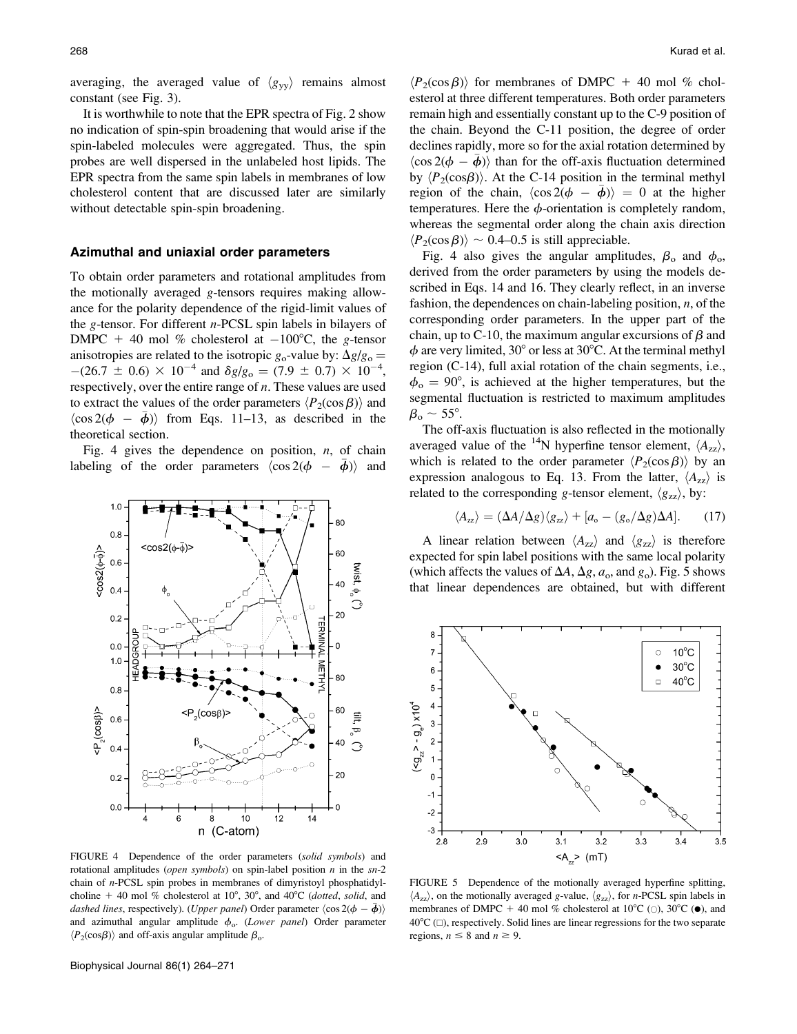averaging, the averaged value of  $\langle g_{yy} \rangle$  remains almost constant (see Fig. 3).

It is worthwhile to note that the EPR spectra of Fig. 2 show no indication of spin-spin broadening that would arise if the spin-labeled molecules were aggregated. Thus, the spin probes are well dispersed in the unlabeled host lipids. The EPR spectra from the same spin labels in membranes of low cholesterol content that are discussed later are similarly without detectable spin-spin broadening.

#### Azimuthal and uniaxial order parameters

To obtain order parameters and rotational amplitudes from the motionally averaged g-tensors requires making allowance for the polarity dependence of the rigid-limit values of the g-tensor. For different  $n$ -PCSL spin labels in bilayers of DMPC + 40 mol % cholesterol at  $-100^{\circ}$ C, the g-tensor anisotropies are related to the isotropic  $g_0$ -value by:  $\Delta g/g_0 =$  $-(26.7 \pm 0.6) \times 10^{-4}$  and  $\delta g/g_0 = (7.9 \pm 0.7) \times 10^{-4}$ , respectively, over the entire range of  $n$ . These values are used to extract the values of the order parameters  $\langle P_2(\cos \beta) \rangle$  and  $\langle \cos 2(\phi - \bar{\phi}) \rangle$  from Eqs. 11–13, as described in the theoretical section.

Fig. 4 gives the dependence on position,  $n$ , of chain labeling of the order parameters  $\langle \cos 2(\phi - \bar{\phi}) \rangle$  and



FIGURE 4 Dependence of the order parameters (solid symbols) and rotational amplitudes (*open symbols*) on spin-label position  $n$  in the  $sn-2$ chain of n-PCSL spin probes in membranes of dimyristoyl phosphatidylcholine + 40 mol % cholesterol at 10°, 30°, and 40°C (dotted, solid, and dashed lines, respectively). (Upper panel) Order parameter  $\langle \cos 2(\phi - \bar{\phi}) \rangle$ and azimuthal angular amplitude  $\phi_0$ . (Lower panel) Order parameter  $\langle P_2(\cos\beta) \rangle$  and off-axis angular amplitude  $\beta_0$ .

 $\langle P_2(\cos \beta) \rangle$  for membranes of DMPC + 40 mol % cholesterol at three different temperatures. Both order parameters remain high and essentially constant up to the C-9 position of the chain. Beyond the C-11 position, the degree of order declines rapidly, more so for the axial rotation determined by  $\langle \cos 2(\phi - \bar{\phi}) \rangle$  than for the off-axis fluctuation determined by  $\langle P_2(\cos\beta) \rangle$ . At the C-14 position in the terminal methyl region of the chain,  $\langle \cos 2(\phi - \bar{\phi}) \rangle = 0$  at the higher temperatures. Here the  $\phi$ -orientation is completely random, whereas the segmental order along the chain axis direction  $\langle P_2(\cos \beta) \rangle \sim 0.4$ –0.5 is still appreciable.

Fig. 4 also gives the angular amplitudes,  $\beta_0$  and  $\phi_0$ , derived from the order parameters by using the models described in Eqs. 14 and 16. They clearly reflect, in an inverse fashion, the dependences on chain-labeling position,  $n$ , of the corresponding order parameters. In the upper part of the chain, up to C-10, the maximum angular excursions of  $\beta$  and  $\phi$  are very limited, 30° or less at 30°C. At the terminal methyl region (C-14), full axial rotation of the chain segments, i.e.,  $\phi_{\rm o} = 90^{\circ}$ , is achieved at the higher temperatures, but the segmental fluctuation is restricted to maximum amplitudes  $\beta_{o} \sim 55^{\circ}$ .

The off-axis fluctuation is also reflected in the motionally averaged value of the <sup>14</sup>N hyperfine tensor element,  $\langle A_{zz} \rangle$ , which is related to the order parameter  $\langle P_2(\cos \beta) \rangle$  by an expression analogous to Eq. 13. From the latter,  $\langle A_{zz} \rangle$  is related to the corresponding g-tensor element,  $\langle g_{zz} \rangle$ , by:

$$
\langle A_{zz} \rangle = (\Delta A/\Delta g) \langle g_{zz} \rangle + [a_{\rm o} - (g_{\rm o}/\Delta g) \Delta A]. \tag{17}
$$

A linear relation between  $\langle A_{zz} \rangle$  and  $\langle g_{zz} \rangle$  is therefore expected for spin label positions with the same local polarity (which affects the values of  $\Delta A$ ,  $\Delta g$ ,  $a_o$ , and  $g_o$ ). Fig. 5 shows that linear dependences are obtained, but with different



FIGURE 5 Dependence of the motionally averaged hyperfine splitting,  $\langle A_{zz} \rangle$ , on the motionally averaged g-value,  $\langle g_{zz} \rangle$ , for *n*-PCSL spin labels in membranes of DMPC + 40 mol % cholesterol at 10 $^{\circ}$ C (0), 30 $^{\circ}$ C ( $\bullet$ ), and  $40^{\circ}C$  ( $\Box$ ), respectively. Solid lines are linear regressions for the two separate regions,  $n \leq 8$  and  $n \geq 9$ .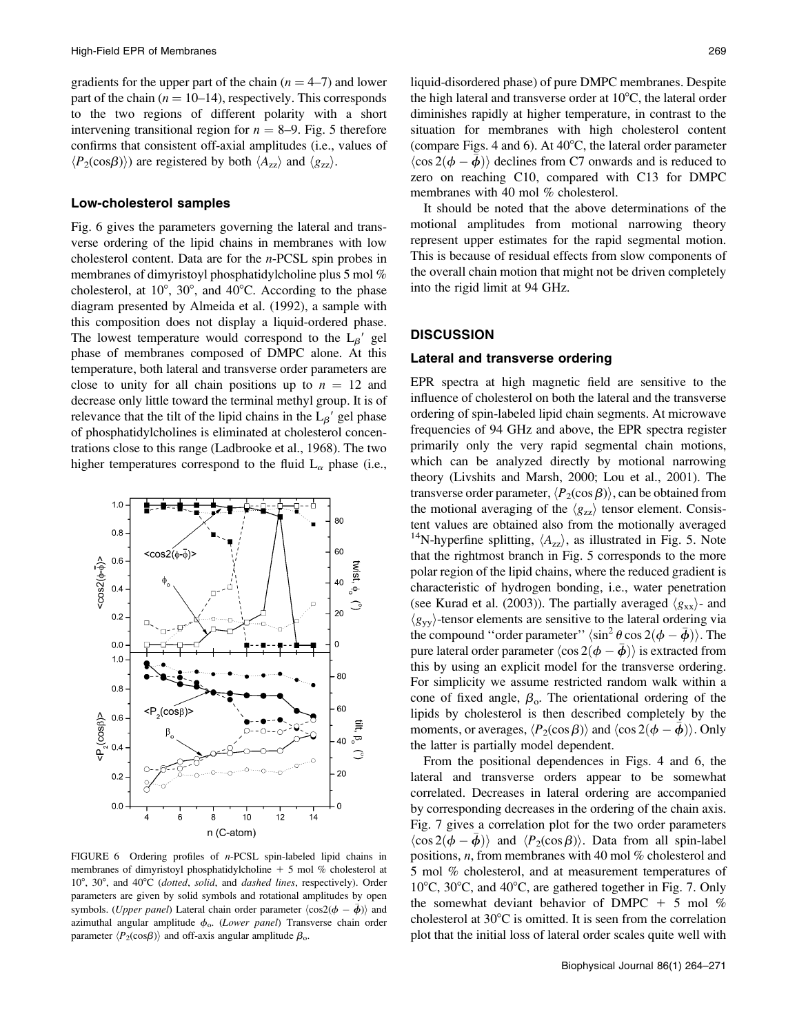gradients for the upper part of the chain  $(n = 4–7)$  and lower part of the chain ( $n = 10-14$ ), respectively. This corresponds to the two regions of different polarity with a short intervening transitional region for  $n = 8-9$ . Fig. 5 therefore confirms that consistent off-axial amplitudes (i.e., values of  $\langle P_2(\cos\beta) \rangle$  are registered by both  $\langle A_{zz} \rangle$  and  $\langle g_{zz} \rangle$ .

#### Low-cholesterol samples

Fig. 6 gives the parameters governing the lateral and transverse ordering of the lipid chains in membranes with low cholesterol content. Data are for the n-PCSL spin probes in membranes of dimyristoyl phosphatidylcholine plus 5 mol % cholesterol, at  $10^{\circ}$ ,  $30^{\circ}$ , and  $40^{\circ}$ C. According to the phase diagram presented by Almeida et al. (1992), a sample with this composition does not display a liquid-ordered phase. The lowest temperature would correspond to the  $L_{\beta}$  gel phase of membranes composed of DMPC alone. At this temperature, both lateral and transverse order parameters are close to unity for all chain positions up to  $n = 12$  and decrease only little toward the terminal methyl group. It is of relevance that the tilt of the lipid chains in the  $L_{\beta}$ <sup>'</sup> gel phase of phosphatidylcholines is eliminated at cholesterol concentrations close to this range (Ladbrooke et al., 1968). The two higher temperatures correspond to the fluid  $L_{\alpha}$  phase (i.e.,



FIGURE 6 Ordering profiles of *n*-PCSL spin-labeled lipid chains in membranes of dimyristoyl phosphatidylcholine  $+$  5 mol % cholesterol at 10°, 30°, and 40°C (dotted, solid, and dashed lines, respectively). Order parameters are given by solid symbols and rotational amplitudes by open symbols. (*Upper panel*) Lateral chain order parameter  $\langle \cos 2(\phi - \bar{\phi}) \rangle$  and azimuthal angular amplitude  $\phi_0$ . (Lower panel) Transverse chain order parameter  $\langle P_2(\cos\beta) \rangle$  and off-axis angular amplitude  $\beta_o$ .

liquid-disordered phase) of pure DMPC membranes. Despite the high lateral and transverse order at  $10^{\circ}$ C, the lateral order diminishes rapidly at higher temperature, in contrast to the situation for membranes with high cholesterol content (compare Figs. 4 and 6). At  $40^{\circ}$ C, the lateral order parameter  $\langle \cos 2(\phi - \bar{\phi}) \rangle$  declines from C7 onwards and is reduced to zero on reaching C10, compared with C13 for DMPC membranes with 40 mol % cholesterol.

It should be noted that the above determinations of the motional amplitudes from motional narrowing theory represent upper estimates for the rapid segmental motion. This is because of residual effects from slow components of the overall chain motion that might not be driven completely into the rigid limit at 94 GHz.

## **DISCUSSION**

## Lateral and transverse ordering

EPR spectra at high magnetic field are sensitive to the influence of cholesterol on both the lateral and the transverse ordering of spin-labeled lipid chain segments. At microwave frequencies of 94 GHz and above, the EPR spectra register primarily only the very rapid segmental chain motions, which can be analyzed directly by motional narrowing theory (Livshits and Marsh, 2000; Lou et al., 2001). The transverse order parameter,  $\langle P_2(\cos \beta) \rangle$ , can be obtained from the motional averaging of the  $\langle g_{zz} \rangle$  tensor element. Consistent values are obtained also from the motionally averaged <sup>14</sup>N-hyperfine splitting,  $\langle A_{zz} \rangle$ , as illustrated in Fig. 5. Note that the rightmost branch in Fig. 5 corresponds to the more polar region of the lipid chains, where the reduced gradient is characteristic of hydrogen bonding, i.e., water penetration (see Kurad et al. (2003)). The partially averaged  $\langle g_{xx} \rangle$ - and  $\langle g_{yy} \rangle$ -tensor elements are sensitive to the lateral ordering via the compound "order parameter"  $\langle \sin^2 \theta \cos 2(\phi - \bar{\phi}) \rangle$ . The pure lateral order parameter  $\langle \cos 2(\phi - \bar \phi) \rangle$  is extracted from this by using an explicit model for the transverse ordering. For simplicity we assume restricted random walk within a cone of fixed angle,  $\beta_0$ . The orientational ordering of the lipids by cholesterol is then described completely by the moments, or averages,  $\langle P_2(\cos \beta) \rangle$  and  $\langle \cos 2(\phi - \overline{\phi}) \rangle$ . Only the latter is partially model dependent.

From the positional dependences in Figs. 4 and 6, the lateral and transverse orders appear to be somewhat correlated. Decreases in lateral ordering are accompanied by corresponding decreases in the ordering of the chain axis. Fig. 7 gives a correlation plot for the two order parameters  $\langle \cos 2(\vec{\phi} - \vec{\phi}) \rangle$  and  $\langle P_2(\cos \beta) \rangle$ . Data from all spin-label positions, n, from membranes with 40 mol % cholesterol and 5 mol % cholesterol, and at measurement temperatures of  $10^{\circ}$ C,  $30^{\circ}$ C, and  $40^{\circ}$ C, are gathered together in Fig. 7. Only the somewhat deviant behavior of DMPC  $+$  5 mol % cholesterol at  $30^{\circ}$ C is omitted. It is seen from the correlation plot that the initial loss of lateral order scales quite well with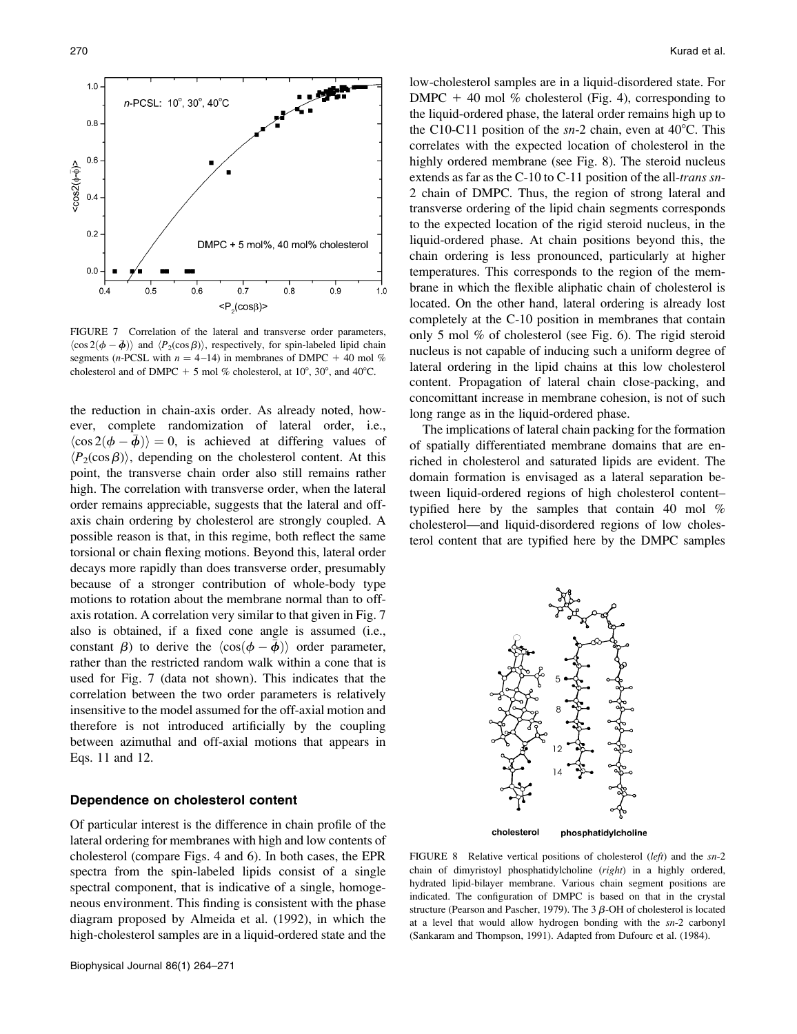

FIGURE 7 Correlation of the lateral and transverse order parameters,  $\langle \cos 2(\phi - \bar{\phi}) \rangle$  and  $\langle P_2(\cos \beta) \rangle$ , respectively, for spin-labeled lipid chain segments (*n*-PCSL with  $n = 4-14$ ) in membranes of DMPC + 40 mol % cholesterol and of DMPC + 5 mol % cholesterol, at  $10^{\circ}$ ,  $30^{\circ}$ , and  $40^{\circ}$ C.

the reduction in chain-axis order. As already noted, however, complete randomization of lateral order, i.e.,  $\langle \cos 2(\phi - \overline{\phi}) \rangle = 0$ , is achieved at differing values of  $\langle P_2(\cos \beta) \rangle$ , depending on the cholesterol content. At this point, the transverse chain order also still remains rather high. The correlation with transverse order, when the lateral order remains appreciable, suggests that the lateral and offaxis chain ordering by cholesterol are strongly coupled. A possible reason is that, in this regime, both reflect the same torsional or chain flexing motions. Beyond this, lateral order decays more rapidly than does transverse order, presumably because of a stronger contribution of whole-body type motions to rotation about the membrane normal than to offaxis rotation. A correlation very similar to that given in Fig. 7 also is obtained, if a fixed cone angle is assumed (i.e., constant  $\beta$ ) to derive the  $\langle \cos(\phi - \bar{\phi}) \rangle$  order parameter, rather than the restricted random walk within a cone that is used for Fig. 7 (data not shown). This indicates that the correlation between the two order parameters is relatively insensitive to the model assumed for the off-axial motion and therefore is not introduced artificially by the coupling between azimuthal and off-axial motions that appears in Eqs. 11 and 12.

## Dependence on cholesterol content

Of particular interest is the difference in chain profile of the lateral ordering for membranes with high and low contents of cholesterol (compare Figs. 4 and 6). In both cases, the EPR spectra from the spin-labeled lipids consist of a single spectral component, that is indicative of a single, homogeneous environment. This finding is consistent with the phase diagram proposed by Almeida et al. (1992), in which the high-cholesterol samples are in a liquid-ordered state and the low-cholesterol samples are in a liquid-disordered state. For DMPC  $+$  40 mol % cholesterol (Fig. 4), corresponding to the liquid-ordered phase, the lateral order remains high up to the C10-C11 position of the  $sn-2$  chain, even at 40 $°C$ . This correlates with the expected location of cholesterol in the highly ordered membrane (see Fig. 8). The steroid nucleus extends as far as the C-10 to C-11 position of the all-trans sn-2 chain of DMPC. Thus, the region of strong lateral and transverse ordering of the lipid chain segments corresponds to the expected location of the rigid steroid nucleus, in the liquid-ordered phase. At chain positions beyond this, the chain ordering is less pronounced, particularly at higher temperatures. This corresponds to the region of the membrane in which the flexible aliphatic chain of cholesterol is located. On the other hand, lateral ordering is already lost completely at the C-10 position in membranes that contain only 5 mol % of cholesterol (see Fig. 6). The rigid steroid nucleus is not capable of inducing such a uniform degree of lateral ordering in the lipid chains at this low cholesterol content. Propagation of lateral chain close-packing, and concomittant increase in membrane cohesion, is not of such long range as in the liquid-ordered phase.

The implications of lateral chain packing for the formation of spatially differentiated membrane domains that are enriched in cholesterol and saturated lipids are evident. The domain formation is envisaged as a lateral separation between liquid-ordered regions of high cholesterol content– typified here by the samples that contain 40 mol % cholesterol—and liquid-disordered regions of low cholesterol content that are typified here by the DMPC samples



cholesterol phosphatidylcholine

FIGURE 8 Relative vertical positions of cholesterol (left) and the sn-2 chain of dimyristoyl phosphatidylcholine (right) in a highly ordered, hydrated lipid-bilayer membrane. Various chain segment positions are indicated. The configuration of DMPC is based on that in the crystal structure (Pearson and Pascher, 1979). The  $3 \beta$ -OH of cholesterol is located at a level that would allow hydrogen bonding with the sn-2 carbonyl (Sankaram and Thompson, 1991). Adapted from Dufourc et al. (1984).